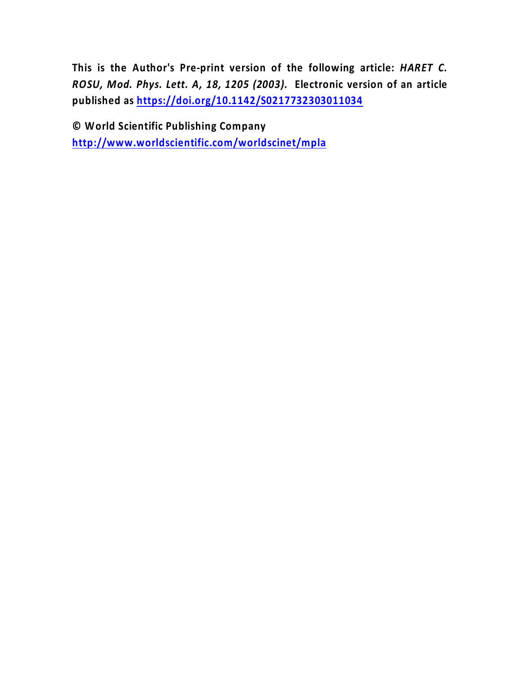**This is the Author's Pre-print version of the following article:** *HARET C. ROSU, Mod. Phys. Lett. A, 18, 1205 (2003).* **Electronic version of an article published as<https://doi.org/10.1142/S0217732303011034>**

**© World Scientific Publishing Company <http://www.worldscientific.com/worldscinet/mpla>**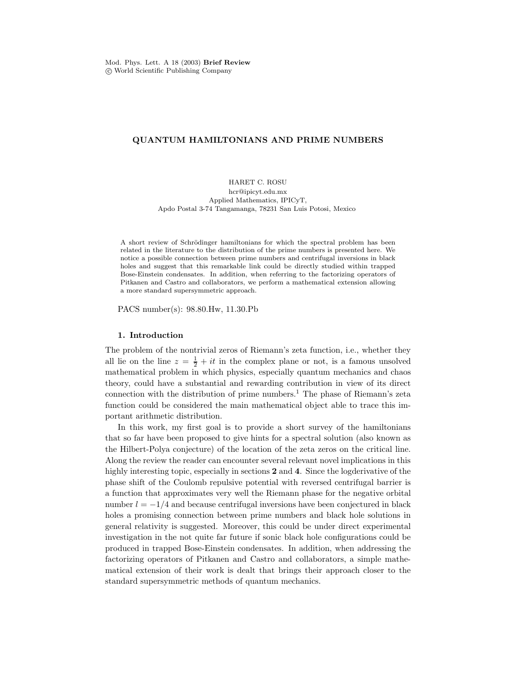#### QUANTUM HAMILTONIANS AND PRIME NUMBERS

#### HARET C. ROSU hcr@ipicyt.edu.mx Applied Mathematics, IPICyT, Apdo Postal 3-74 Tangamanga, 78231 San Luis Potosi, Mexico

A short review of Schrödinger hamiltonians for which the spectral problem has been related in the literature to the distribution of the prime numbers is presented here. We notice a possible connection between prime numbers and centrifugal inversions in black holes and suggest that this remarkable link could be directly studied within trapped Bose-Einstein condensates. In addition, when referring to the factorizing operators of Pitkanen and Castro and collaborators, we perform a mathematical extension allowing a more standard supersymmetric approach.

PACS number(s): 98.80.Hw, 11.30.Pb

#### 1. Introduction

The problem of the nontrivial zeros of Riemann's zeta function, i.e., whether they all lie on the line  $z = \frac{1}{2} + it$  in the complex plane or not, is a famous unsolved mathematical problem in which physics, especially quantum mechanics and chaos theory, could have a substantial and rewarding contribution in view of its direct connection with the distribution of prime numbers.<sup>1</sup> The phase of Riemann's zeta function could be considered the main mathematical object able to trace this important arithmetic distribution.

In this work, my first goal is to provide a short survey of the hamiltonians that so far have been proposed to give hints for a spectral solution (also known as the Hilbert-Polya conjecture) of the location of the zeta zeros on the critical line. Along the review the reader can encounter several relevant novel implications in this highly interesting topic, especially in sections 2 and 4. Since the logderivative of the phase shift of the Coulomb repulsive potential with reversed centrifugal barrier is a function that approximates very well the Riemann phase for the negative orbital number  $l = -1/4$  and because centrifugal inversions have been conjectured in black holes a promising connection between prime numbers and black hole solutions in general relativity is suggested. Moreover, this could be under direct experimental investigation in the not quite far future if sonic black hole configurations could be produced in trapped Bose-Einstein condensates. In addition, when addressing the factorizing operators of Pitkanen and Castro and collaborators, a simple mathematical extension of their work is dealt that brings their approach closer to the standard supersymmetric methods of quantum mechanics.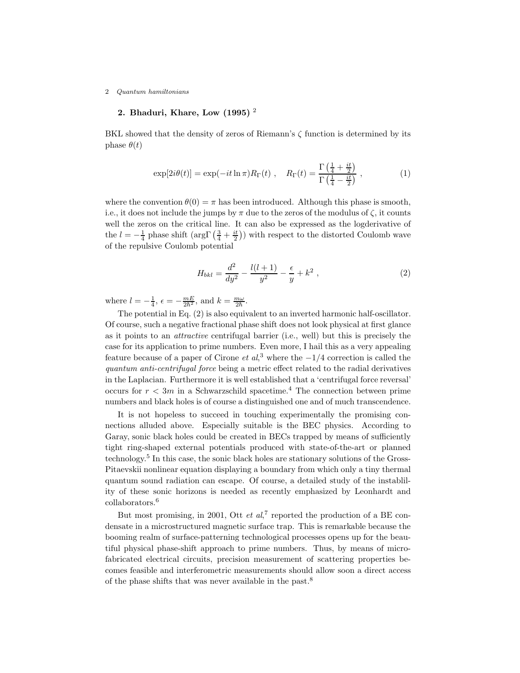## 2. Bhaduri, Khare, Low  $(1995)^2$

BKL showed that the density of zeros of Riemann's  $\zeta$  function is determined by its phase  $\theta(t)$ 

$$
\exp[2i\theta(t)] = \exp(-it\ln\pi)R_{\Gamma}(t) , \quad R_{\Gamma}(t) = \frac{\Gamma\left(\frac{1}{4} + \frac{it}{2}\right)}{\Gamma\left(\frac{1}{4} - \frac{it}{2}\right)} , \qquad (1)
$$

where the convention  $\theta(0) = \pi$  has been introduced. Although this phase is smooth, i.e., it does not include the jumps by  $\pi$  due to the zeros of the modulus of  $\zeta$ , it counts well the zeros on the critical line. It can also be expressed as the logderivative of the  $l = -\frac{1}{4}$  phase shift  $\left(\arg\Gamma\left(\frac{3}{4} + \frac{it}{2}\right)\right)$  with respect to the distorted Coulomb wave of the repulsive Coulomb potential

$$
H_{bkl} = \frac{d^2}{dy^2} - \frac{l(l+1)}{y^2} - \frac{\epsilon}{y} + k^2 \,,\tag{2}
$$

where  $l = -\frac{1}{4}$ ,  $\epsilon = -\frac{mE}{2\hbar^2}$ , and  $k = \frac{m\omega}{2\hbar}$ .

The potential in Eq. (2) is also equivalent to an inverted harmonic half-oscillator. Of course, such a negative fractional phase shift does not look physical at first glance as it points to an attractive centrifugal barrier (i.e., well) but this is precisely the case for its application to prime numbers. Even more, I hail this as a very appealing feature because of a paper of Cirone  $et\ al,^3$  where the  $-1/4$  correction is called the quantum anti-centrifugal force being a metric effect related to the radial derivatives in the Laplacian. Furthermore it is well established that a 'centrifugal force reversal' occurs for  $r < 3m$  in a Schwarzschild spacetime.<sup>4</sup> The connection between prime numbers and black holes is of course a distinguished one and of much transcendence.

It is not hopeless to succeed in touching experimentally the promising connections alluded above. Especially suitable is the BEC physics. According to Garay, sonic black holes could be created in BECs trapped by means of sufficiently tight ring-shaped external potentials produced with state-of-the-art or planned technology.<sup>5</sup> In this case, the sonic black holes are stationary solutions of the Gross-Pitaevskii nonlinear equation displaying a boundary from which only a tiny thermal quantum sound radiation can escape. Of course, a detailed study of the instablility of these sonic horizons is needed as recently emphasized by Leonhardt and collaborators.<sup>6</sup>

But most promising, in 2001, Ott et  $al$ <sup>7</sup>, reported the production of a BE condensate in a microstructured magnetic surface trap. This is remarkable because the booming realm of surface-patterning technological processes opens up for the beautiful physical phase-shift approach to prime numbers. Thus, by means of microfabricated electrical circuits, precision measurement of scattering properties becomes feasible and interferometric measurements should allow soon a direct access of the phase shifts that was never available in the past.<sup>8</sup>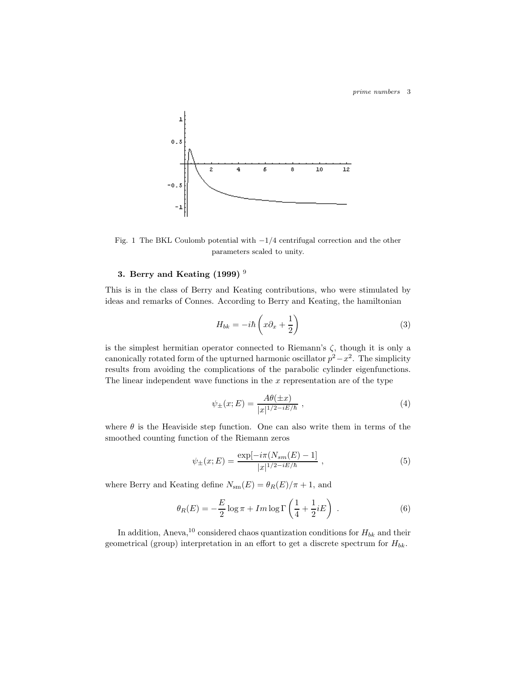

Fig. 1 The BKL Coulomb potential with  $-1/4$  centrifugal correction and the other parameters scaled to unity.

#### 3. Berry and Keating  $(1999)^9$

This is in the class of Berry and Keating contributions, who were stimulated by ideas and remarks of Connes. According to Berry and Keating, the hamiltonian

$$
H_{bk} = -i\hbar \left( x\partial_x + \frac{1}{2} \right) \tag{3}
$$

is the simplest hermitian operator connected to Riemann's  $\zeta$ , though it is only a canonically rotated form of the upturned harmonic oscillator  $p^2 - x^2$ . The simplicity results from avoiding the complications of the parabolic cylinder eigenfunctions. The linear independent wave functions in the  $x$  representation are of the type

$$
\psi_{\pm}(x;E) = \frac{A\theta(\pm x)}{|x|^{1/2 - iE/\hbar}},
$$
\n(4)

where  $\theta$  is the Heaviside step function. One can also write them in terms of the smoothed counting function of the Riemann zeros

$$
\psi_{\pm}(x;E) = \frac{\exp[-i\pi(N_{sm}(E) - 1]}{|x|^{1/2 - iE/\hbar}} , \qquad (5)
$$

where Berry and Keating define  $N_{\rm sm}(E) = \theta_R(E)/\pi + 1$ , and

$$
\theta_R(E) = -\frac{E}{2}\log \pi + Im \log \Gamma\left(\frac{1}{4} + \frac{1}{2}iE\right) \tag{6}
$$

In addition, Aneva,<sup>10</sup> considered chaos quantization conditions for  $H_{bk}$  and their geometrical (group) interpretation in an effort to get a discrete spectrum for  $H_{bk}$ .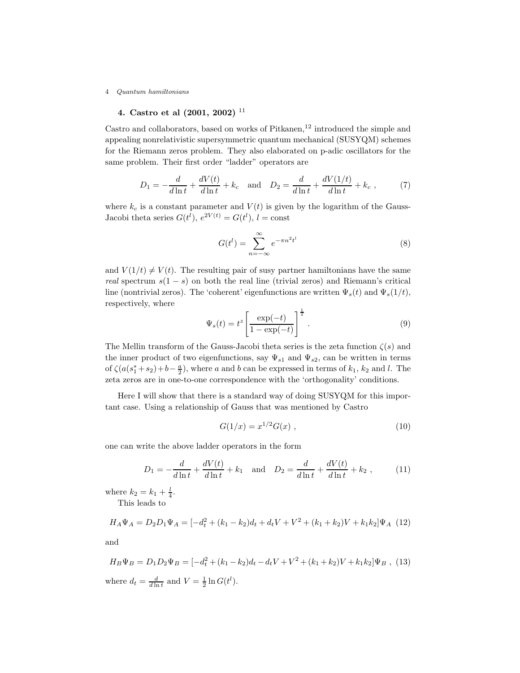## 4. Castro et al  $(2001, 2002)$ <sup>11</sup>

Castro and collaborators, based on works of Pitkanen, $^{12}$  introduced the simple and appealing nonrelativistic supersymmetric quantum mechanical (SUSYQM) schemes for the Riemann zeros problem. They also elaborated on p-adic oscillators for the same problem. Their first order "ladder" operators are

$$
D_1 = -\frac{d}{d\ln t} + \frac{dV(t)}{d\ln t} + k_c \quad \text{and} \quad D_2 = \frac{d}{d\ln t} + \frac{dV(1/t)}{d\ln t} + k_c \,, \tag{7}
$$

where  $k_c$  is a constant parameter and  $V(t)$  is given by the logarithm of the Gauss-Jacobi theta series  $G(t^l)$ ,  $e^{2V(t)} = G(t^l)$ ,  $l = \text{const}$ 

$$
G(t^l) = \sum_{n = -\infty}^{\infty} e^{-\pi n^2 t^l}
$$
 (8)

and  $V(1/t) \neq V(t)$ . The resulting pair of susy partner hamiltonians have the same real spectrum  $s(1-s)$  on both the real line (trivial zeros) and Riemann's critical line (nontrivial zeros). The 'coherent' eigenfunctions are written  $\Psi_s(t)$  and  $\Psi_s(1/t)$ , respectively, where

$$
\Psi_s(t) = t^z \left[ \frac{\exp(-t)}{1 - \exp(-t)} \right]^{\frac{1}{2}}.
$$
\n(9)

The Mellin transform of the Gauss-Jacobi theta series is the zeta function  $\zeta(s)$  and the inner product of two eigenfunctions, say  $\Psi_{s1}$  and  $\Psi_{s2}$ , can be written in terms of  $\zeta(a(s_1^* + s_2) + b - \frac{a}{2})$ , where a and b can be expressed in terms of  $k_1$ ,  $k_2$  and l. The zeta zeros are in one-to-one correspondence with the 'orthogonality' conditions.

Here I will show that there is a standard way of doing SUSYQM for this important case. Using a relationship of Gauss that was mentioned by Castro

$$
G(1/x) = x^{1/2} G(x) , \t\t(10)
$$

one can write the above ladder operators in the form

$$
D_1 = -\frac{d}{d\ln t} + \frac{dV(t)}{d\ln t} + k_1 \quad \text{and} \quad D_2 = \frac{d}{d\ln t} + \frac{dV(t)}{d\ln t} + k_2 \,, \tag{11}
$$

where  $k_2 = k_1 + \frac{l}{4}$ .

This leads to

$$
H_A \Psi_A = D_2 D_1 \Psi_A = \left[ -d_t^2 + (k_1 - k_2)d_t + d_t V + V^2 + (k_1 + k_2)V + k_1k_2 \right] \Psi_A \tag{12}
$$

and

$$
H_B \Psi_B = D_1 D_2 \Psi_B = [-d_t^2 + (k_1 - k_2)d_t - d_t V + V^2 + (k_1 + k_2)V + k_1k_2]\Psi_B ,
$$
 (13)  
where  $d_t = \frac{d}{d \ln t}$  and  $V = \frac{1}{2} \ln G(t^l)$ .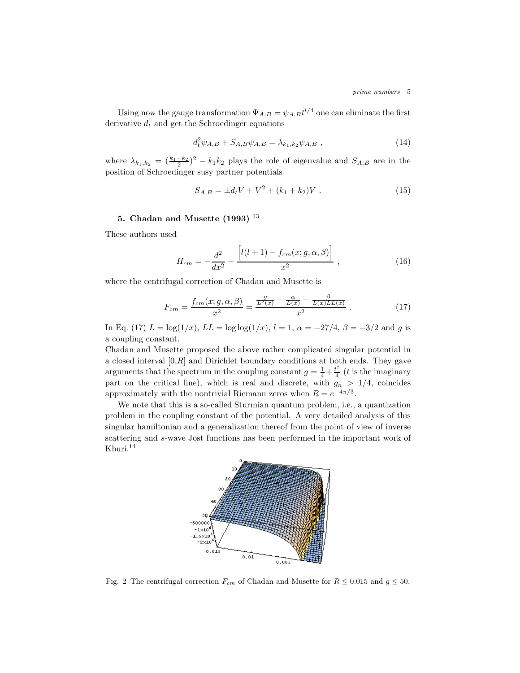Using now the gauge transformation  $\Psi_{A,B} = \psi_{A,B} t^{l/4}$  one can eliminate the first derivative  $d_t$  and get the Schroedinger equations

$$
d_t^2 \psi_{A,B} + S_{A,B} \psi_{A,B} = \lambda_{k_1,k_2} \psi_{A,B} , \qquad (14)
$$

where  $\lambda_{k_1,k_2} = \left(\frac{k_1-k_2}{2}\right)^2 - k_1k_2$  plays the role of eigenvalue and  $S_{A,B}$  are in the position of Schroedinger susy partner potentials

$$
S_{A,B} = \pm d_t V + V^2 + (k_1 + k_2)V \tag{15}
$$

#### 5. Chadan and Musette  $(1993)$ <sup>13</sup>

These authors used

$$
H_{cm} = -\frac{d^2}{dx^2} - \frac{\left[l(l+1) - f_{cm}(x; g, \alpha, \beta)\right]}{x^2}, \qquad (16)
$$

where the centrifugal correction of Chadan and Musette is

$$
F_{cm} = \frac{f_{cm}(x; g, \alpha, \beta)}{x^2} = \frac{\frac{g}{L^2(x)} - \frac{\alpha}{L(x)} - \frac{\beta}{L(x)LL(x)}}{x^2} \tag{17}
$$

In Eq. (17)  $L = \log(1/x)$ ,  $LL = \log \log(1/x)$ ,  $l = 1$ ,  $\alpha = -27/4$ ,  $\beta = -3/2$  and g is a coupling constant.

Chadan and Musette proposed the above rather complicated singular potential in a closed interval  $[0,R]$  and Dirichlet boundary conditions at both ends. They gave arguments that the spectrum in the coupling constant  $g = \frac{1}{4} + \frac{t^2}{4}$  $\frac{t^2}{4}$  (*t* is the imaginary part on the critical line), which is real and discrete, with  $g_n > 1/4$ , coincides approximately with the nontrivial Riemann zeros when  $R = e^{-4\pi/3}$ .

We note that this is a so-called Sturmian quantum problem, i.e., a quantization problem in the coupling constant of the potential. A very detailed analysis of this singular hamiltonian and a generalization thereof from the point of view of inverse scattering and s-wave Jost functions has been performed in the important work of Khuri.<sup>14</sup>



Fig. 2 The centrifugal correction  $F_{cm}$  of Chadan and Musette for  $R \leq 0.015$  and  $g \leq 50$ .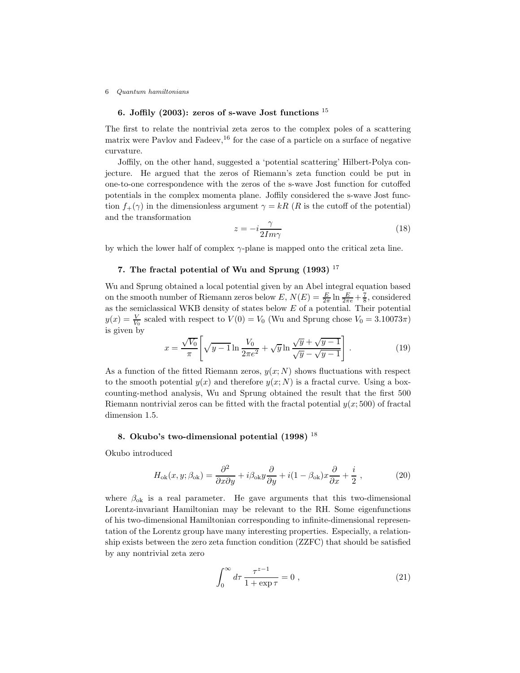# 6. Joffily (2003): zeros of s-wave Jost functions  $^{15}$

The first to relate the nontrivial zeta zeros to the complex poles of a scattering matrix were Pavlov and Fadeev,  $^{16}$  for the case of a particle on a surface of negative curvature.

Joffily, on the other hand, suggested a 'potential scattering' Hilbert-Polya conjecture. He argued that the zeros of Riemann's zeta function could be put in one-to-one correspondence with the zeros of the s-wave Jost function for cutoffed potentials in the complex momenta plane. Joffily considered the s-wave Jost function  $f_+(\gamma)$  in the dimensionless argument  $\gamma = kR$  (R is the cutoff of the potential) and the transformation

$$
z = -i\frac{\gamma}{2Im\gamma} \tag{18}
$$

by which the lower half of complex  $\gamma$ -plane is mapped onto the critical zeta line.

## 7. The fractal potential of Wu and Sprung  $(1993)$ <sup>17</sup>

Wu and Sprung obtained a local potential given by an Abel integral equation based on the smooth number of Riemann zeros below  $E, N(E) = \frac{E}{2\pi} \ln \frac{E}{2\pi e} + \frac{7}{8}$ , considered as the semiclassical WKB density of states below  $E$  of a potential. Their potential  $y(x) = \frac{V}{V_0}$  scaled with respect to  $V(0) = V_0$  (Wu and Sprung chose  $V_0 = 3.10073\pi$ ) is given by

$$
x = \frac{\sqrt{V_0}}{\pi} \left[ \sqrt{y - 1} \ln \frac{V_0}{2\pi e^2} + \sqrt{y} \ln \frac{\sqrt{y} + \sqrt{y - 1}}{\sqrt{y} - \sqrt{y - 1}} \right].
$$
 (19)

As a function of the fitted Riemann zeros,  $y(x; N)$  shows fluctuations with respect to the smooth potential  $y(x)$  and therefore  $y(x; N)$  is a fractal curve. Using a boxcounting-method analysis, Wu and Sprung obtained the result that the first 500 Riemann nontrivial zeros can be fitted with the fractal potential  $y(x; 500)$  of fractal dimension 1.5.

#### 8. Okubo's two-dimensional potential  $(1998)$ <sup>18</sup>

Okubo introduced

$$
H_{\text{ok}}(x, y; \beta_{\text{ok}}) = \frac{\partial^2}{\partial x \partial y} + i\beta_{\text{ok}} y \frac{\partial}{\partial y} + i(1 - \beta_{\text{ok}}) x \frac{\partial}{\partial x} + \frac{i}{2} , \qquad (20)
$$

where  $\beta_{\rm ok}$  is a real parameter. He gave arguments that this two-dimensional Lorentz-invariant Hamiltonian may be relevant to the RH. Some eigenfunctions of his two-dimensional Hamiltonian corresponding to infinite-dimensional representation of the Lorentz group have many interesting properties. Especially, a relationship exists between the zero zeta function condition (ZZFC) that should be satisfied by any nontrivial zeta zero

$$
\int_0^\infty d\tau \, \frac{\tau^{z-1}}{1 + \exp \tau} = 0 \;, \tag{21}
$$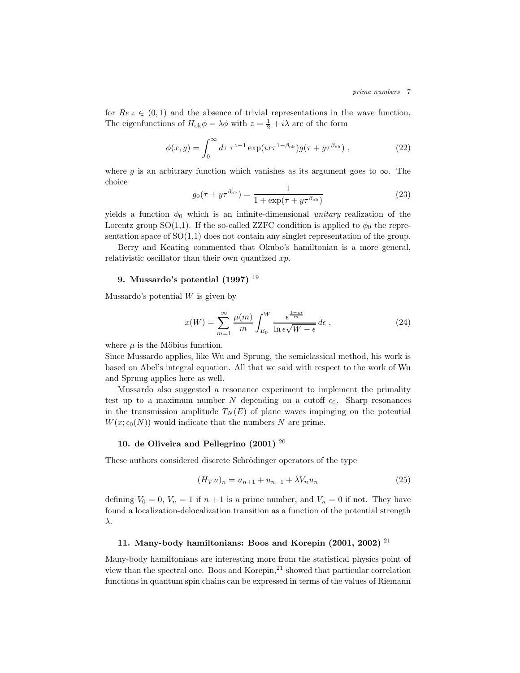for  $Re z \in (0, 1)$  and the absence of trivial representations in the wave function. The eigenfunctions of  $H_{\text{ok}}\phi = \lambda\phi$  with  $z = \frac{1}{2} + i\lambda$  are of the form

$$
\phi(x,y) = \int_0^\infty d\tau \,\tau^{z-1} \exp(ix\tau^{1-\beta_{\text{ok}}}) g(\tau + y\tau^{\beta_{\text{ok}}}) ,\qquad (22)
$$

where g is an arbitrary function which vanishes as its argument goes to  $\infty$ . The choice

$$
g_0(\tau + \bar{y}\tau^{\beta_{\text{ok}}}) = \frac{1}{1 + \exp(\tau + \bar{y}\tau^{\beta_{\text{ok}}})}
$$
(23)

yields a function  $\phi_0$  which is an infinite-dimensional unitary realization of the Lorentz group SO(1,1). If the so-called ZZFC condition is applied to  $\phi_0$  the representation space of  $SO(1,1)$  does not contain any singlet representation of the group.

Berry and Keating commented that Okubo's hamiltonian is a more general, relativistic oscillator than their own quantized  $xp$ .

#### 9. Mussardo's potential  $(1997)$ <sup>19</sup>

Mussardo's potential  $W$  is given by

$$
x(W) = \sum_{m=1}^{\infty} \frac{\mu(m)}{m} \int_{E_0}^{W} \frac{\epsilon^{\frac{1-m}{m}}}{\ln \epsilon \sqrt{W - \epsilon}} d\epsilon ,
$$
 (24)

where  $\mu$  is the Möbius function.

Since Mussardo applies, like Wu and Sprung, the semiclassical method, his work is based on Abel's integral equation. All that we said with respect to the work of Wu and Sprung applies here as well.

Mussardo also suggested a resonance experiment to implement the primality test up to a maximum number N depending on a cutoff  $\epsilon_0$ . Sharp resonances in the transmission amplitude  $T_N(E)$  of plane waves impinging on the potential  $W(x; \epsilon_0(N))$  would indicate that the numbers N are prime.

# 10. de Oliveira and Pellegrino  $(2001)$ <sup>20</sup>

These authors considered discrete Schrödinger operators of the type

$$
(H_V u)_n = u_{n+1} + u_{n-1} + \lambda V_n u_n \tag{25}
$$

defining  $V_0 = 0$ ,  $V_n = 1$  if  $n + 1$  is a prime number, and  $V_n = 0$  if not. They have found a localization-delocalization transition as a function of the potential strength λ.

#### 11. Many-body hamiltonians: Boos and Korepin  $(2001, 2002)^{21}$

Many-body hamiltonians are interesting more from the statistical physics point of view than the spectral one. Boos and Korepin, $^{21}$  showed that particular correlation functions in quantum spin chains can be expressed in terms of the values of Riemann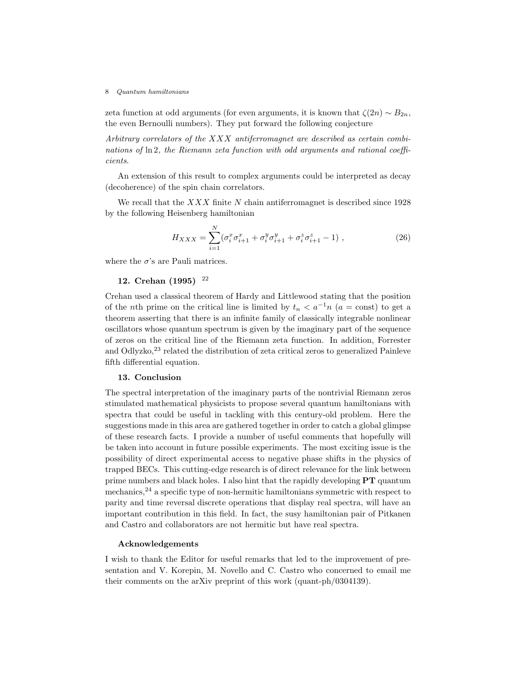zeta function at odd arguments (for even arguments, it is known that  $\zeta(2n) \sim B_{2n}$ , the even Bernoulli numbers). They put forward the following conjecture

Arbitrary correlators of the XXX antiferromagnet are described as certain combinations of ln 2, the Riemann zeta function with odd arguments and rational coefficients.

An extension of this result to complex arguments could be interpreted as decay (decoherence) of the spin chain correlators.

We recall that the  $XXX$  finite N chain antiferromagnet is described since 1928 by the following Heisenberg hamiltonian

$$
H_{XXX} = \sum_{i=1}^{N} (\sigma_i^x \sigma_{i+1}^x + \sigma_i^y \sigma_{i+1}^y + \sigma_i^z \sigma_{i+1}^z - 1) ,
$$
 (26)

where the  $\sigma$ 's are Pauli matrices.

# 12. Crehan (1995) <sup>22</sup>

Crehan used a classical theorem of Hardy and Littlewood stating that the position of the nth prime on the critical line is limited by  $t_n < a^{-1}n$  (a = const) to get a theorem asserting that there is an infinite family of classically integrable nonlinear oscillators whose quantum spectrum is given by the imaginary part of the sequence of zeros on the critical line of the Riemann zeta function. In addition, Forrester and Odlyzko, $^{23}$  related the distribution of zeta critical zeros to generalized Painleve fifth differential equation.

## 13. Conclusion

The spectral interpretation of the imaginary parts of the nontrivial Riemann zeros stimulated mathematical physicists to propose several quantum hamiltonians with spectra that could be useful in tackling with this century-old problem. Here the suggestions made in this area are gathered together in order to catch a global glimpse of these research facts. I provide a number of useful comments that hopefully will be taken into account in future possible experiments. The most exciting issue is the possibility of direct experimental access to negative phase shifts in the physics of trapped BECs. This cutting-edge research is of direct relevance for the link between prime numbers and black holes. I also hint that the rapidly developing  $\mathbf{PT}$  quantum mechanics,<sup>24</sup> a specific type of non-hermitic hamiltonians symmetric with respect to parity and time reversal discrete operations that display real spectra, will have an important contribution in this field. In fact, the susy hamiltonian pair of Pitkanen and Castro and collaborators are not hermitic but have real spectra.

#### Acknowledgements

I wish to thank the Editor for useful remarks that led to the improvement of presentation and V. Korepin, M. Novello and C. Castro who concerned to email me their comments on the arXiv preprint of this work (quant-ph/0304139).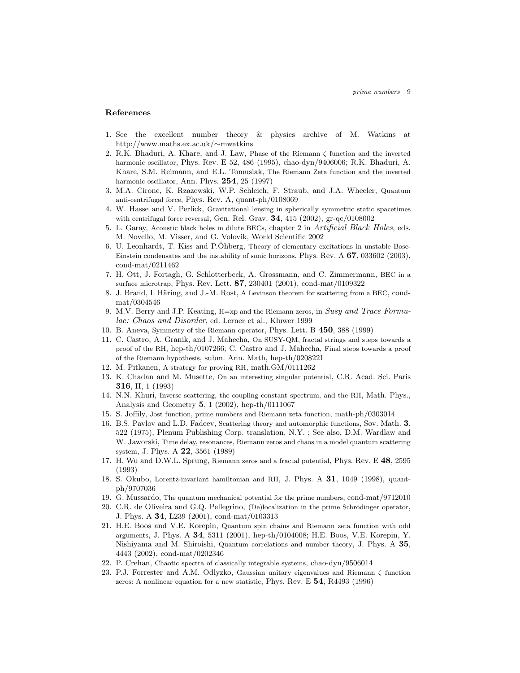#### References

- 1. See the excellent number theory & physics archive of M. Watkins at http://www.maths.ex.ac.uk/∼mwatkins
- 2. R.K. Bhaduri, A. Khare, and J. Law, Phase of the Riemann ζ function and the inverted harmonic oscillator, Phys. Rev. E 52, 486 (1995), chao-dyn/9406006; R.K. Bhaduri, A. Khare, S.M. Reimann, and E.L. Tomusiak, The Riemann Zeta function and the inverted harmonic oscillator, Ann. Phys. 254, 25 (1997)
- 3. M.A. Cirone, K. Rzazewski, W.P. Schleich, F. Straub, and J.A. Wheeler, Quantum anti-centrifugal force, Phys. Rev. A, quant-ph/0108069
- 4. W. Hasse and V. Perlick, Gravitational lensing in spherically symmetric static spacetimes with centrifugal force reversal, Gen. Rel. Grav.  $34$ ,  $415$  (2002), gr-qc/0108002
- 5. L. Garay, Acoustic black holes in dilute BECs, chapter 2 in Artificial Black Holes, eds. M. Novello, M. Visser, and G. Volovik, World Scientific 2002
- 6. U. Leonhardt, T. Kiss and P.Öhberg, Theory of elementary excitations in unstable Bose-Einstein condensates and the instability of sonic horizons, Phys. Rev.  $\mathbf{A}$  67, 033602 (2003), cond-mat/0211462
- 7. H. Ott, J. Fortagh, G. Schlotterbeck, A. Grossmann, and C. Zimmermann, BEC in a surface microtrap, Phys. Rev. Lett. 87, 230401 (2001), cond-mat/0109322
- 8. J. Brand, I. Häring, and J.-M. Rost, A Levinson theorem for scattering from a BEC, condmat/0304546
- 9. M.V. Berry and J.P. Keating, H=xp and the Riemann zeros, in Susy and Trace Formulae: Chaos and Disorder, ed. Lerner et al., Kluwer 1999
- 10. B. Aneva, Symmetry of the Riemann operator, Phys. Lett. B 450, 388 (1999)
- 11. C. Castro, A. Granik, and J. Mahecha, On SUSY-QM, fractal strings and steps towards a proof of the RH, hep-th/0107266; C. Castro and J. Mahecha, Final steps towards a proof of the Riemann hypothesis, subm. Ann. Math, hep-th/0208221
- 12. M. Pitkanen, A strategy for proving RH, math.GM/0111262
- 13. K. Chadan and M. Musette, On an interesting singular potential, C.R. Acad. Sci. Paris 316, II, 1 (1993)
- 14. N.N. Khuri, Inverse scattering, the coupling constant spectrum, and the RH, Math. Phys., Analysis and Geometry  $5$ , 1 (2002), hep-th/0111067
- 15. S. Joffily, Jost function, prime numbers and Riemann zeta function, math-ph/0303014
- 16. B.S. Pavlov and L.D. Fadeev, Scattering theory and automorphic functions, Sov. Math. 3, 522 (1975), Plenum Publishing Corp. translation, N.Y. ; See also, D.M. Wardlaw and W. Jaworski, Time delay, resonances, Riemann zeros and chaos in a model quantum scattering system, J. Phys. A  $22$ , 3561 (1989)
- 17. H. Wu and D.W.L. Sprung, Riemann zeros and a fractal potential, Phys. Rev. E 48, 2595 (1993)
- 18. S. Okubo, Lorentz-invariant hamiltonian and RH, J. Phys. A 31, 1049 (1998), quantph/9707036
- 19. G. Mussardo, The quantum mechanical potential for the prime numbers, cond-mat/9712010
- 20. C.R. de Oliveira and G.Q. Pellegrino, (De)localization in the prime Schrödinger operator, J. Phys. A 34, L239 (2001), cond-mat/0103313
- 21. H.E. Boos and V.E. Korepin, Quantum spin chains and Riemann zeta function with odd arguments, J. Phys. A 34, 5311 (2001), hep-th/0104008; H.E. Boos, V.E. Korepin, Y. Nishiyama and M. Shiroishi, Quantum correlations and number theory, J. Phys. A 35, 4443 (2002), cond-mat/0202346
- 22. P. Crehan, Chaotic spectra of classically integrable systems, chao-dyn/9506014
- 23. P.J. Forrester and A.M. Odlyzko, Gaussian unitary eigenvalues and Riemann ζ function zeros: A nonlinear equation for a new statistic, Phys. Rev. E 54, R4493 (1996)